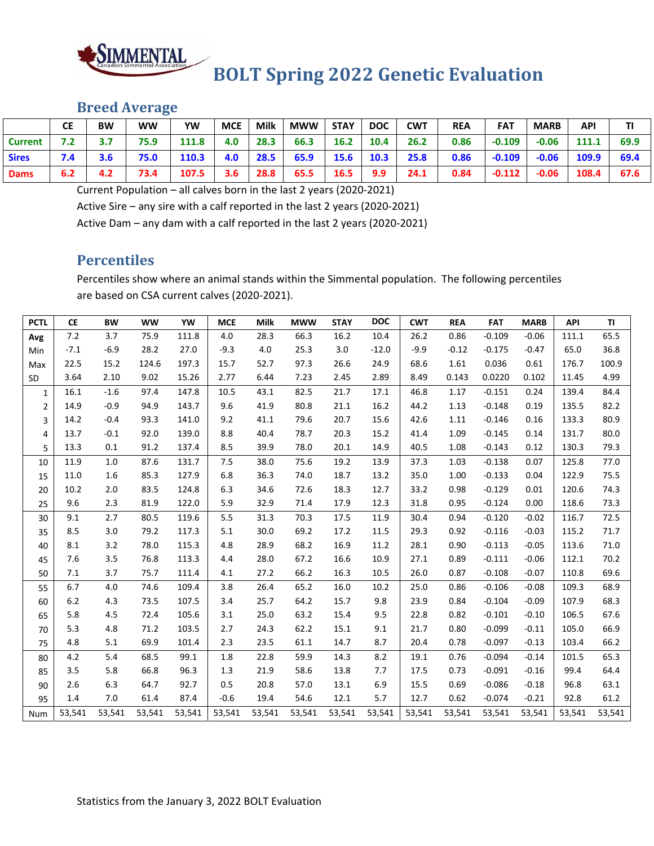

### **Breed Average**

|              | <b>CE</b> | <b>BW</b> | ww   | YW    | <b>MCE</b> | <b>Milk</b> | <b>MWW</b> | <b>STAY</b> | <b>DOC</b> | CWT  | <b>REA</b> | <b>FAT</b> | <b>MARB</b> | API   | ΤI   |
|--------------|-----------|-----------|------|-------|------------|-------------|------------|-------------|------------|------|------------|------------|-------------|-------|------|
| Current      | 7.2       |           | 75.9 | 111.8 | 4.0        | 28.3        | 66.3       | 16.2        | 10.4       | 26.2 | 0.86       | $-0.109$   | $-0.06$     | 111.1 | 69.9 |
| <b>Sires</b> | 7.4       | 3.6       | 75.0 | 110.3 | 4.0        | 28.5        | 65.9       | 15.6        | 10.3       | 25.8 | 0.86       | $-0.109$   | $-0.06$     | 109.9 | 69.4 |
| <b>Dams</b>  | 6.2       | 4.2       | 73.4 | 107.5 | 3.6        | 28.8        | 65.5       | 16.5        | 9.9        | 24.1 | 0.84       | $-0.112$   | $-0.06$     | 108.4 | 67.6 |

Current Population – all calves born in the last 2 years (2020‐2021)

Active Sire – any sire with a calf reported in the last 2 years (2020‐2021)

Active Dam – any dam with a calf reported in the last 2 years (2020‐2021)

#### **Percentiles**

Percentiles show where an animal stands within the Simmental population. The following percentiles are based on CSA current calves (2020‐2021).

| <b>PCTL</b>    | <b>CE</b> | <b>BW</b> | <b>WW</b> | YW     | <b>MCE</b> | <b>Milk</b> | <b>MWW</b> | <b>STAY</b> | <b>DOC</b> | <b>CWT</b> | <b>REA</b> | <b>FAT</b> | <b>MARB</b> | <b>API</b> | TI     |
|----------------|-----------|-----------|-----------|--------|------------|-------------|------------|-------------|------------|------------|------------|------------|-------------|------------|--------|
| Avg            | 7.2       | 3.7       | 75.9      | 111.8  | 4.0        | 28.3        | 66.3       | 16.2        | 10.4       | 26.2       | 0.86       | $-0.109$   | $-0.06$     | 111.1      | 65.5   |
| Min            | $-7.1$    | $-6.9$    | 28.2      | 27.0   | $-9.3$     | 4.0         | 25.3       | 3.0         | $-12.0$    | $-9.9$     | $-0.12$    | $-0.175$   | $-0.47$     | 65.0       | 36.8   |
| Max            | 22.5      | 15.2      | 124.6     | 197.3  | 15.7       | 52.7        | 97.3       | 26.6        | 24.9       | 68.6       | 1.61       | 0.036      | 0.61        | 176.7      | 100.9  |
| <b>SD</b>      | 3.64      | 2.10      | 9.02      | 15.26  | 2.77       | 6.44        | 7.23       | 2.45        | 2.89       | 8.49       | 0.143      | 0.0220     | 0.102       | 11.45      | 4.99   |
| $\mathbf{1}$   | 16.1      | $-1.6$    | 97.4      | 147.8  | 10.5       | 43.1        | 82.5       | 21.7        | 17.1       | 46.8       | 1.17       | $-0.151$   | 0.24        | 139.4      | 84.4   |
| $\overline{2}$ | 14.9      | $-0.9$    | 94.9      | 143.7  | 9.6        | 41.9        | 80.8       | 21.1        | 16.2       | 44.2       | 1.13       | $-0.148$   | 0.19        | 135.5      | 82.2   |
| 3              | 14.2      | $-0.4$    | 93.3      | 141.0  | 9.2        | 41.1        | 79.6       | 20.7        | 15.6       | 42.6       | 1.11       | $-0.146$   | 0.16        | 133.3      | 80.9   |
| 4              | 13.7      | $-0.1$    | 92.0      | 139.0  | 8.8        | 40.4        | 78.7       | 20.3        | 15.2       | 41.4       | 1.09       | $-0.145$   | 0.14        | 131.7      | 80.0   |
| 5              | 13.3      | 0.1       | 91.2      | 137.4  | 8.5        | 39.9        | 78.0       | 20.1        | 14.9       | 40.5       | 1.08       | $-0.143$   | 0.12        | 130.3      | 79.3   |
| 10             | 11.9      | 1.0       | 87.6      | 131.7  | 7.5        | 38.0        | 75.6       | 19.2        | 13.9       | 37.3       | 1.03       | $-0.138$   | 0.07        | 125.8      | 77.0   |
| 15             | 11.0      | 1.6       | 85.3      | 127.9  | 6.8        | 36.3        | 74.0       | 18.7        | 13.2       | 35.0       | 1.00       | $-0.133$   | 0.04        | 122.9      | 75.5   |
| 20             | 10.2      | 2.0       | 83.5      | 124.8  | 6.3        | 34.6        | 72.6       | 18.3        | 12.7       | 33.2       | 0.98       | $-0.129$   | 0.01        | 120.6      | 74.3   |
| 25             | 9.6       | 2.3       | 81.9      | 122.0  | 5.9        | 32.9        | 71.4       | 17.9        | 12.3       | 31.8       | 0.95       | $-0.124$   | 0.00        | 118.6      | 73.3   |
| 30             | 9.1       | 2.7       | 80.5      | 119.6  | 5.5        | 31.3        | 70.3       | 17.5        | 11.9       | 30.4       | 0.94       | $-0.120$   | $-0.02$     | 116.7      | 72.5   |
| 35             | 8.5       | 3.0       | 79.2      | 117.3  | 5.1        | 30.0        | 69.2       | 17.2        | 11.5       | 29.3       | 0.92       | $-0.116$   | $-0.03$     | 115.2      | 71.7   |
| 40             | 8.1       | 3.2       | 78.0      | 115.3  | 4.8        | 28.9        | 68.2       | 16.9        | 11.2       | 28.1       | 0.90       | $-0.113$   | $-0.05$     | 113.6      | 71.0   |
| 45             | 7.6       | 3.5       | 76.8      | 113.3  | 4.4        | 28.0        | 67.2       | 16.6        | 10.9       | 27.1       | 0.89       | $-0.111$   | $-0.06$     | 112.1      | 70.2   |
| 50             | 7.1       | 3.7       | 75.7      | 111.4  | 4.1        | 27.2        | 66.2       | 16.3        | 10.5       | 26.0       | 0.87       | $-0.108$   | $-0.07$     | 110.8      | 69.6   |
| 55             | 6.7       | 4.0       | 74.6      | 109.4  | 3.8        | 26.4        | 65.2       | 16.0        | 10.2       | 25.0       | 0.86       | $-0.106$   | $-0.08$     | 109.3      | 68.9   |
| 60             | $6.2$     | 4.3       | 73.5      | 107.5  | 3.4        | 25.7        | 64.2       | 15.7        | 9.8        | 23.9       | 0.84       | $-0.104$   | $-0.09$     | 107.9      | 68.3   |
| 65             | 5.8       | 4.5       | 72.4      | 105.6  | 3.1        | 25.0        | 63.2       | 15.4        | 9.5        | 22.8       | 0.82       | $-0.101$   | $-0.10$     | 106.5      | 67.6   |
| 70             | 5.3       | 4.8       | 71.2      | 103.5  | 2.7        | 24.3        | 62.2       | 15.1        | 9.1        | 21.7       | 0.80       | $-0.099$   | $-0.11$     | 105.0      | 66.9   |
| 75             | 4.8       | 5.1       | 69.9      | 101.4  | 2.3        | 23.5        | 61.1       | 14.7        | 8.7        | 20.4       | 0.78       | $-0.097$   | $-0.13$     | 103.4      | 66.2   |
| 80             | 4.2       | 5.4       | 68.5      | 99.1   | 1.8        | 22.8        | 59.9       | 14.3        | 8.2        | 19.1       | 0.76       | $-0.094$   | $-0.14$     | 101.5      | 65.3   |
| 85             | 3.5       | 5.8       | 66.8      | 96.3   | 1.3        | 21.9        | 58.6       | 13.8        | 7.7        | 17.5       | 0.73       | $-0.091$   | $-0.16$     | 99.4       | 64.4   |
| 90             | 2.6       | 6.3       | 64.7      | 92.7   | 0.5        | 20.8        | 57.0       | 13.1        | 6.9        | 15.5       | 0.69       | $-0.086$   | $-0.18$     | 96.8       | 63.1   |
| 95             | 1.4       | 7.0       | 61.4      | 87.4   | $-0.6$     | 19.4        | 54.6       | 12.1        | 5.7        | 12.7       | 0.62       | $-0.074$   | $-0.21$     | 92.8       | 61.2   |
| Num            | 53,541    | 53,541    | 53,541    | 53,541 | 53,541     | 53,541      | 53,541     | 53,541      | 53,541     | 53,541     | 53,541     | 53,541     | 53,541      | 53,541     | 53,541 |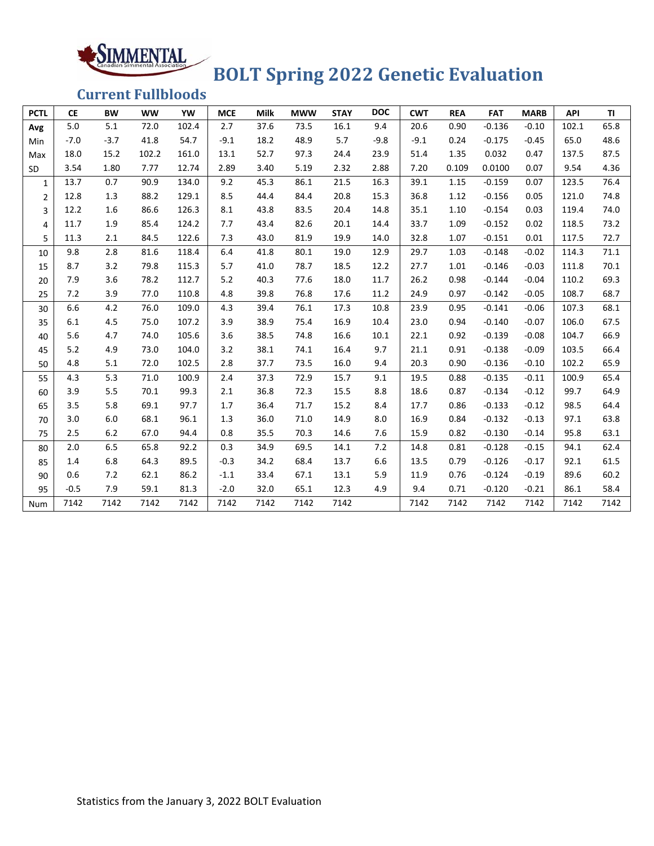# **BOLT Spring 2022 Genetic Evaluation**

**Current Fullbloods**

SIMMENTAL

| <b>PCTL</b>    | <b>CE</b> | <b>BW</b> | <b>WW</b> | YW    | <b>MCE</b> | <b>Milk</b> | <b>MWW</b> | <b>STAY</b> | <b>DOC</b> | <b>CWT</b> | <b>REA</b> | <b>FAT</b> | <b>MARB</b> | <b>API</b> | <b>TI</b> |
|----------------|-----------|-----------|-----------|-------|------------|-------------|------------|-------------|------------|------------|------------|------------|-------------|------------|-----------|
| Avg            | 5.0       | 5.1       | 72.0      | 102.4 | 2.7        | 37.6        | 73.5       | 16.1        | 9.4        | 20.6       | 0.90       | $-0.136$   | $-0.10$     | 102.1      | 65.8      |
| Min            | $-7.0$    | $-3.7$    | 41.8      | 54.7  | $-9.1$     | 18.2        | 48.9       | 5.7         | $-9.8$     | $-9.1$     | 0.24       | $-0.175$   | $-0.45$     | 65.0       | 48.6      |
| Max            | 18.0      | 15.2      | 102.2     | 161.0 | 13.1       | 52.7        | 97.3       | 24.4        | 23.9       | 51.4       | 1.35       | 0.032      | 0.47        | 137.5      | 87.5      |
| SD             | 3.54      | 1.80      | 7.77      | 12.74 | 2.89       | 3.40        | 5.19       | 2.32        | 2.88       | 7.20       | 0.109      | 0.0100     | 0.07        | 9.54       | 4.36      |
| $\mathbf{1}$   | 13.7      | 0.7       | 90.9      | 134.0 | 9.2        | 45.3        | 86.1       | 21.5        | 16.3       | 39.1       | 1.15       | $-0.159$   | 0.07        | 123.5      | 76.4      |
| $\overline{2}$ | 12.8      | 1.3       | 88.2      | 129.1 | 8.5        | 44.4        | 84.4       | 20.8        | 15.3       | 36.8       | 1.12       | $-0.156$   | 0.05        | 121.0      | 74.8      |
| 3              | 12.2      | 1.6       | 86.6      | 126.3 | 8.1        | 43.8        | 83.5       | 20.4        | 14.8       | 35.1       | 1.10       | $-0.154$   | 0.03        | 119.4      | 74.0      |
| 4              | 11.7      | 1.9       | 85.4      | 124.2 | 7.7        | 43.4        | 82.6       | 20.1        | 14.4       | 33.7       | 1.09       | $-0.152$   | 0.02        | 118.5      | 73.2      |
| 5              | 11.3      | 2.1       | 84.5      | 122.6 | 7.3        | 43.0        | 81.9       | 19.9        | 14.0       | 32.8       | 1.07       | $-0.151$   | 0.01        | 117.5      | 72.7      |
| 10             | 9.8       | 2.8       | 81.6      | 118.4 | 6.4        | 41.8        | 80.1       | 19.0        | 12.9       | 29.7       | 1.03       | $-0.148$   | $-0.02$     | 114.3      | 71.1      |
| 15             | 8.7       | 3.2       | 79.8      | 115.3 | 5.7        | 41.0        | 78.7       | 18.5        | 12.2       | 27.7       | 1.01       | $-0.146$   | $-0.03$     | 111.8      | 70.1      |
| 20             | 7.9       | 3.6       | 78.2      | 112.7 | 5.2        | 40.3        | 77.6       | 18.0        | 11.7       | 26.2       | 0.98       | $-0.144$   | $-0.04$     | 110.2      | 69.3      |
| 25             | 7.2       | 3.9       | 77.0      | 110.8 | 4.8        | 39.8        | 76.8       | 17.6        | 11.2       | 24.9       | 0.97       | $-0.142$   | $-0.05$     | 108.7      | 68.7      |
| 30             | 6.6       | 4.2       | 76.0      | 109.0 | 4.3        | 39.4        | 76.1       | 17.3        | 10.8       | 23.9       | 0.95       | $-0.141$   | $-0.06$     | 107.3      | 68.1      |
| 35             | 6.1       | 4.5       | 75.0      | 107.2 | 3.9        | 38.9        | 75.4       | 16.9        | 10.4       | 23.0       | 0.94       | $-0.140$   | $-0.07$     | 106.0      | 67.5      |
| 40             | 5.6       | 4.7       | 74.0      | 105.6 | 3.6        | 38.5        | 74.8       | 16.6        | 10.1       | 22.1       | 0.92       | $-0.139$   | $-0.08$     | 104.7      | 66.9      |
| 45             | 5.2       | 4.9       | 73.0      | 104.0 | 3.2        | 38.1        | 74.1       | 16.4        | 9.7        | 21.1       | 0.91       | $-0.138$   | $-0.09$     | 103.5      | 66.4      |
| 50             | 4.8       | 5.1       | 72.0      | 102.5 | 2.8        | 37.7        | 73.5       | 16.0        | 9.4        | 20.3       | 0.90       | $-0.136$   | $-0.10$     | 102.2      | 65.9      |
| 55             | 4.3       | 5.3       | 71.0      | 100.9 | 2.4        | 37.3        | 72.9       | 15.7        | 9.1        | 19.5       | 0.88       | $-0.135$   | $-0.11$     | 100.9      | 65.4      |
| 60             | 3.9       | 5.5       | 70.1      | 99.3  | 2.1        | 36.8        | 72.3       | 15.5        | 8.8        | 18.6       | 0.87       | $-0.134$   | $-0.12$     | 99.7       | 64.9      |
| 65             | 3.5       | 5.8       | 69.1      | 97.7  | 1.7        | 36.4        | 71.7       | 15.2        | 8.4        | 17.7       | 0.86       | $-0.133$   | $-0.12$     | 98.5       | 64.4      |
| 70             | 3.0       | 6.0       | 68.1      | 96.1  | 1.3        | 36.0        | 71.0       | 14.9        | 8.0        | 16.9       | 0.84       | $-0.132$   | $-0.13$     | 97.1       | 63.8      |
| 75             | 2.5       | 6.2       | 67.0      | 94.4  | 0.8        | 35.5        | 70.3       | 14.6        | 7.6        | 15.9       | 0.82       | $-0.130$   | $-0.14$     | 95.8       | 63.1      |
| 80             | 2.0       | 6.5       | 65.8      | 92.2  | 0.3        | 34.9        | 69.5       | 14.1        | 7.2        | 14.8       | 0.81       | $-0.128$   | $-0.15$     | 94.1       | 62.4      |
| 85             | 1.4       | 6.8       | 64.3      | 89.5  | $-0.3$     | 34.2        | 68.4       | 13.7        | 6.6        | 13.5       | 0.79       | $-0.126$   | $-0.17$     | 92.1       | 61.5      |
| 90             | 0.6       | 7.2       | 62.1      | 86.2  | $-1.1$     | 33.4        | 67.1       | 13.1        | 5.9        | 11.9       | 0.76       | $-0.124$   | $-0.19$     | 89.6       | 60.2      |
| 95             | $-0.5$    | 7.9       | 59.1      | 81.3  | $-2.0$     | 32.0        | 65.1       | 12.3        | 4.9        | 9.4        | 0.71       | $-0.120$   | $-0.21$     | 86.1       | 58.4      |
| Num            | 7142      | 7142      | 7142      | 7142  | 7142       | 7142        | 7142       | 7142        |            | 7142       | 7142       | 7142       | 7142        | 7142       | 7142      |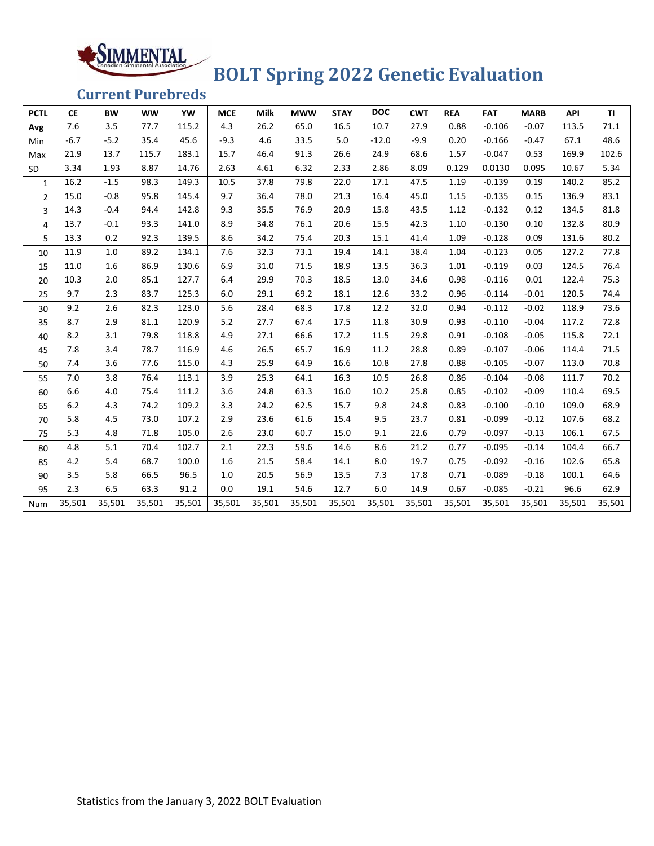## **BOLT Spring 2022 Genetic Evaluation**

**Current Purebreds**

SIMMENTAL

| <b>PCTL</b>    | <b>CE</b> | <b>BW</b> | <b>WW</b> | YW     | <b>MCE</b> | <b>Milk</b> | <b>MWW</b> | <b>STAY</b> | <b>DOC</b> | <b>CWT</b> | <b>REA</b> | <b>FAT</b> | <b>MARB</b> | API    | <b>TI</b> |
|----------------|-----------|-----------|-----------|--------|------------|-------------|------------|-------------|------------|------------|------------|------------|-------------|--------|-----------|
| Avg            | 7.6       | 3.5       | 77.7      | 115.2  | 4.3        | 26.2        | 65.0       | 16.5        | 10.7       | 27.9       | 0.88       | $-0.106$   | $-0.07$     | 113.5  | 71.1      |
| Min            | $-6.7$    | $-5.2$    | 35.4      | 45.6   | $-9.3$     | 4.6         | 33.5       | 5.0         | $-12.0$    | $-9.9$     | 0.20       | $-0.166$   | $-0.47$     | 67.1   | 48.6      |
| Max            | 21.9      | 13.7      | 115.7     | 183.1  | 15.7       | 46.4        | 91.3       | 26.6        | 24.9       | 68.6       | 1.57       | $-0.047$   | 0.53        | 169.9  | 102.6     |
| SD             | 3.34      | 1.93      | 8.87      | 14.76  | 2.63       | 4.61        | 6.32       | 2.33        | 2.86       | 8.09       | 0.129      | 0.0130     | 0.095       | 10.67  | 5.34      |
| 1              | 16.2      | $-1.5$    | 98.3      | 149.3  | 10.5       | 37.8        | 79.8       | 22.0        | 17.1       | 47.5       | 1.19       | $-0.139$   | 0.19        | 140.2  | 85.2      |
| $\overline{2}$ | 15.0      | $-0.8$    | 95.8      | 145.4  | 9.7        | 36.4        | 78.0       | 21.3        | 16.4       | 45.0       | 1.15       | $-0.135$   | 0.15        | 136.9  | 83.1      |
| 3              | 14.3      | $-0.4$    | 94.4      | 142.8  | 9.3        | 35.5        | 76.9       | 20.9        | 15.8       | 43.5       | 1.12       | $-0.132$   | 0.12        | 134.5  | 81.8      |
| 4              | 13.7      | $-0.1$    | 93.3      | 141.0  | 8.9        | 34.8        | 76.1       | 20.6        | 15.5       | 42.3       | 1.10       | $-0.130$   | 0.10        | 132.8  | 80.9      |
| 5              | 13.3      | 0.2       | 92.3      | 139.5  | 8.6        | 34.2        | 75.4       | 20.3        | 15.1       | 41.4       | 1.09       | $-0.128$   | 0.09        | 131.6  | 80.2      |
| 10             | 11.9      | 1.0       | 89.2      | 134.1  | 7.6        | 32.3        | 73.1       | 19.4        | 14.1       | 38.4       | 1.04       | $-0.123$   | 0.05        | 127.2  | 77.8      |
| 15             | 11.0      | 1.6       | 86.9      | 130.6  | 6.9        | 31.0        | 71.5       | 18.9        | 13.5       | 36.3       | 1.01       | $-0.119$   | 0.03        | 124.5  | 76.4      |
| 20             | 10.3      | 2.0       | 85.1      | 127.7  | 6.4        | 29.9        | 70.3       | 18.5        | 13.0       | 34.6       | 0.98       | $-0.116$   | 0.01        | 122.4  | 75.3      |
| 25             | 9.7       | 2.3       | 83.7      | 125.3  | 6.0        | 29.1        | 69.2       | 18.1        | 12.6       | 33.2       | 0.96       | $-0.114$   | $-0.01$     | 120.5  | 74.4      |
| 30             | 9.2       | 2.6       | 82.3      | 123.0  | 5.6        | 28.4        | 68.3       | 17.8        | 12.2       | 32.0       | 0.94       | $-0.112$   | $-0.02$     | 118.9  | 73.6      |
| 35             | 8.7       | 2.9       | 81.1      | 120.9  | 5.2        | 27.7        | 67.4       | 17.5        | 11.8       | 30.9       | 0.93       | $-0.110$   | $-0.04$     | 117.2  | 72.8      |
| 40             | 8.2       | 3.1       | 79.8      | 118.8  | 4.9        | 27.1        | 66.6       | 17.2        | 11.5       | 29.8       | 0.91       | $-0.108$   | $-0.05$     | 115.8  | 72.1      |
| 45             | 7.8       | 3.4       | 78.7      | 116.9  | 4.6        | 26.5        | 65.7       | 16.9        | 11.2       | 28.8       | 0.89       | $-0.107$   | $-0.06$     | 114.4  | 71.5      |
| 50             | 7.4       | 3.6       | 77.6      | 115.0  | 4.3        | 25.9        | 64.9       | 16.6        | 10.8       | 27.8       | 0.88       | $-0.105$   | $-0.07$     | 113.0  | 70.8      |
| 55             | 7.0       | 3.8       | 76.4      | 113.1  | 3.9        | 25.3        | 64.1       | 16.3        | 10.5       | 26.8       | 0.86       | $-0.104$   | $-0.08$     | 111.7  | 70.2      |
| 60             | 6.6       | 4.0       | 75.4      | 111.2  | 3.6        | 24.8        | 63.3       | 16.0        | 10.2       | 25.8       | 0.85       | $-0.102$   | $-0.09$     | 110.4  | 69.5      |
| 65             | 6.2       | 4.3       | 74.2      | 109.2  | 3.3        | 24.2        | 62.5       | 15.7        | 9.8        | 24.8       | 0.83       | $-0.100$   | $-0.10$     | 109.0  | 68.9      |
| 70             | 5.8       | 4.5       | 73.0      | 107.2  | 2.9        | 23.6        | 61.6       | 15.4        | 9.5        | 23.7       | 0.81       | $-0.099$   | $-0.12$     | 107.6  | 68.2      |
| 75             | 5.3       | 4.8       | 71.8      | 105.0  | 2.6        | 23.0        | 60.7       | 15.0        | 9.1        | 22.6       | 0.79       | $-0.097$   | $-0.13$     | 106.1  | 67.5      |
| 80             | 4.8       | 5.1       | 70.4      | 102.7  | 2.1        | 22.3        | 59.6       | 14.6        | 8.6        | 21.2       | 0.77       | $-0.095$   | $-0.14$     | 104.4  | 66.7      |
| 85             | 4.2       | 5.4       | 68.7      | 100.0  | 1.6        | 21.5        | 58.4       | 14.1        | 8.0        | 19.7       | 0.75       | $-0.092$   | $-0.16$     | 102.6  | 65.8      |
| 90             | 3.5       | 5.8       | 66.5      | 96.5   | 1.0        | 20.5        | 56.9       | 13.5        | 7.3        | 17.8       | 0.71       | $-0.089$   | $-0.18$     | 100.1  | 64.6      |
| 95             | 2.3       | 6.5       | 63.3      | 91.2   | 0.0        | 19.1        | 54.6       | 12.7        | 6.0        | 14.9       | 0.67       | $-0.085$   | $-0.21$     | 96.6   | 62.9      |
| Num            | 35,501    | 35,501    | 35,501    | 35,501 | 35,501     | 35,501      | 35,501     | 35,501      | 35,501     | 35,501     | 35,501     | 35,501     | 35,501      | 35,501 | 35,501    |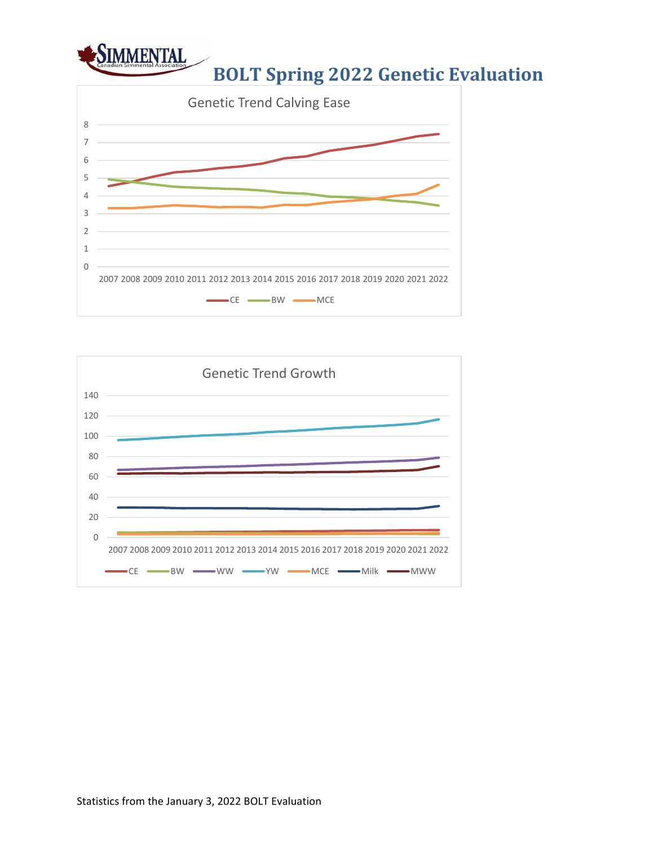

### **BOLT Spring 2022 Genetic Evaluation**